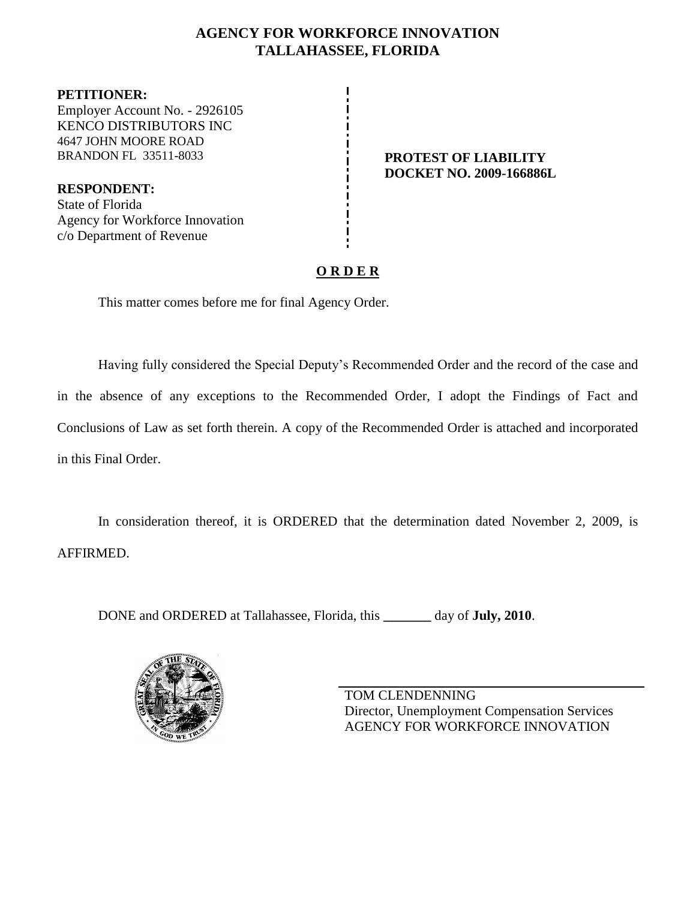# **AGENCY FOR WORKFORCE INNOVATION TALLAHASSEE, FLORIDA**

**PETITIONER:** Employer Account No. - 2926105 KENCO DISTRIBUTORS INC 4647 JOHN MOORE ROAD BRANDON FL 33511-8033 **PROTEST OF LIABILITY** 

**RESPONDENT:** State of Florida Agency for Workforce Innovation c/o Department of Revenue

**DOCKET NO. 2009-166886L**

# **O R D E R**

This matter comes before me for final Agency Order.

Having fully considered the Special Deputy's Recommended Order and the record of the case and in the absence of any exceptions to the Recommended Order, I adopt the Findings of Fact and Conclusions of Law as set forth therein. A copy of the Recommended Order is attached and incorporated in this Final Order.

In consideration thereof, it is ORDERED that the determination dated November 2, 2009, is AFFIRMED.

DONE and ORDERED at Tallahassee, Florida, this **\_\_\_\_\_\_\_** day of **July, 2010**.



TOM CLENDENNING Director, Unemployment Compensation Services AGENCY FOR WORKFORCE INNOVATION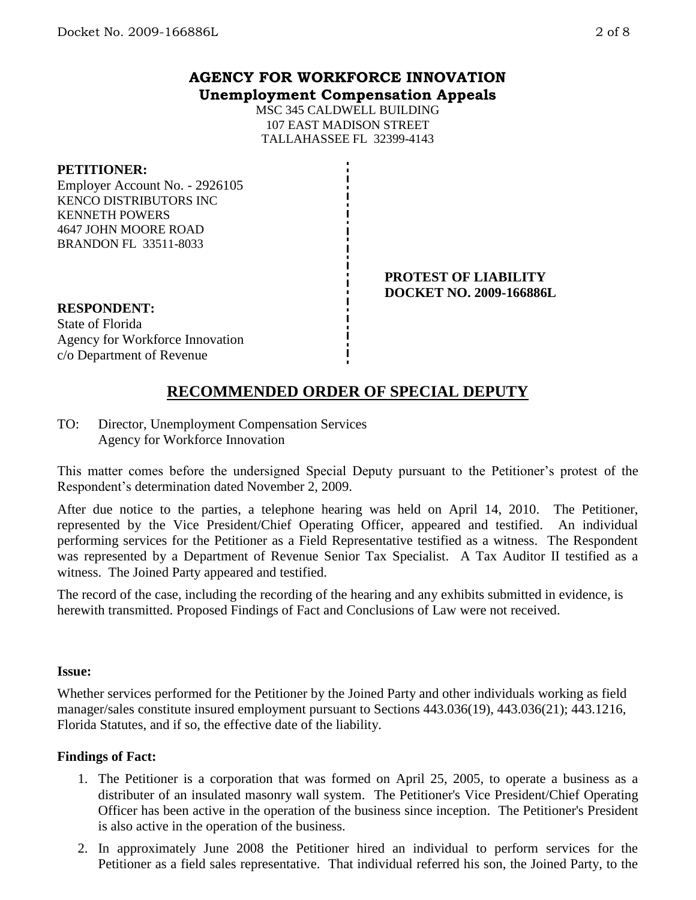## **AGENCY FOR WORKFORCE INNOVATION Unemployment Compensation Appeals**

MSC 345 CALDWELL BUILDING 107 EAST MADISON STREET TALLAHASSEE FL 32399-4143

#### **PETITIONER:**

Employer Account No. - 2926105 KENCO DISTRIBUTORS INC KENNETH POWERS 4647 JOHN MOORE ROAD BRANDON FL 33511-8033

#### **PROTEST OF LIABILITY DOCKET NO. 2009-166886L**

#### **RESPONDENT:**

State of Florida Agency for Workforce Innovation c/o Department of Revenue

# **RECOMMENDED ORDER OF SPECIAL DEPUTY**

TO: Director, Unemployment Compensation Services Agency for Workforce Innovation

This matter comes before the undersigned Special Deputy pursuant to the Petitioner's protest of the Respondent's determination dated November 2, 2009.

After due notice to the parties, a telephone hearing was held on April 14, 2010. The Petitioner, represented by the Vice President/Chief Operating Officer, appeared and testified. An individual performing services for the Petitioner as a Field Representative testified as a witness. The Respondent was represented by a Department of Revenue Senior Tax Specialist. A Tax Auditor II testified as a witness. The Joined Party appeared and testified.

The record of the case, including the recording of the hearing and any exhibits submitted in evidence, is herewith transmitted. Proposed Findings of Fact and Conclusions of Law were not received.

#### **Issue:**

Whether services performed for the Petitioner by the Joined Party and other individuals working as field manager/sales constitute insured employment pursuant to Sections 443.036(19), 443.036(21); 443.1216, Florida Statutes, and if so, the effective date of the liability.

### **Findings of Fact:**

- 1. The Petitioner is a corporation that was formed on April 25, 2005, to operate a business as a distributer of an insulated masonry wall system. The Petitioner's Vice President/Chief Operating Officer has been active in the operation of the business since inception. The Petitioner's President is also active in the operation of the business.
- 2. In approximately June 2008 the Petitioner hired an individual to perform services for the Petitioner as a field sales representative. That individual referred his son, the Joined Party, to the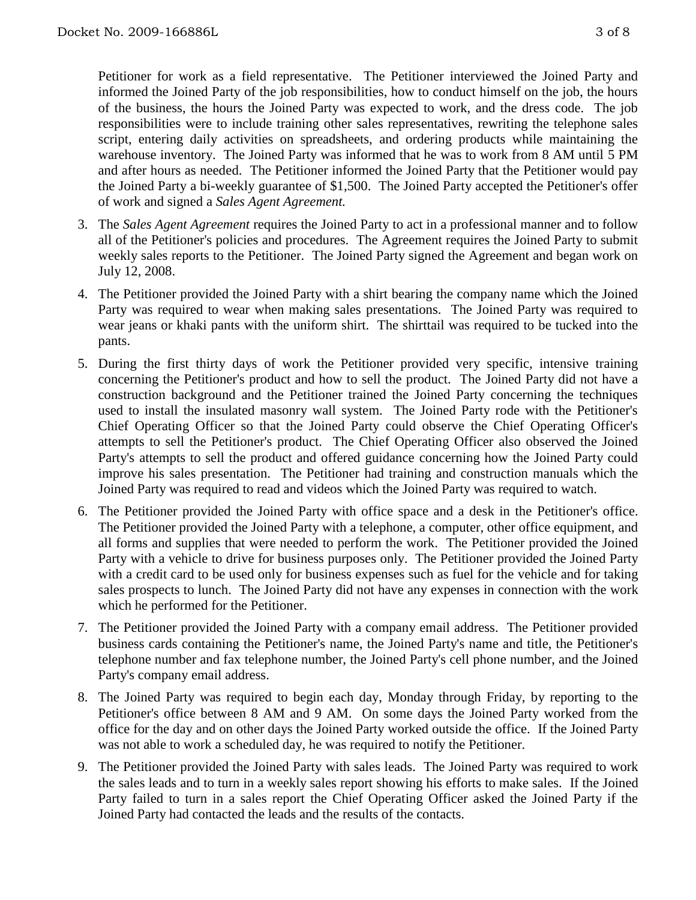Petitioner for work as a field representative. The Petitioner interviewed the Joined Party and informed the Joined Party of the job responsibilities, how to conduct himself on the job, the hours of the business, the hours the Joined Party was expected to work, and the dress code. The job responsibilities were to include training other sales representatives, rewriting the telephone sales script, entering daily activities on spreadsheets, and ordering products while maintaining the warehouse inventory. The Joined Party was informed that he was to work from 8 AM until 5 PM and after hours as needed. The Petitioner informed the Joined Party that the Petitioner would pay the Joined Party a bi-weekly guarantee of \$1,500. The Joined Party accepted the Petitioner's offer of work and signed a *Sales Agent Agreement.* 

- 3. The *Sales Agent Agreement* requires the Joined Party to act in a professional manner and to follow all of the Petitioner's policies and procedures. The Agreement requires the Joined Party to submit weekly sales reports to the Petitioner. The Joined Party signed the Agreement and began work on July 12, 2008.
- 4. The Petitioner provided the Joined Party with a shirt bearing the company name which the Joined Party was required to wear when making sales presentations. The Joined Party was required to wear jeans or khaki pants with the uniform shirt. The shirttail was required to be tucked into the pants.
- 5. During the first thirty days of work the Petitioner provided very specific, intensive training concerning the Petitioner's product and how to sell the product. The Joined Party did not have a construction background and the Petitioner trained the Joined Party concerning the techniques used to install the insulated masonry wall system. The Joined Party rode with the Petitioner's Chief Operating Officer so that the Joined Party could observe the Chief Operating Officer's attempts to sell the Petitioner's product. The Chief Operating Officer also observed the Joined Party's attempts to sell the product and offered guidance concerning how the Joined Party could improve his sales presentation. The Petitioner had training and construction manuals which the Joined Party was required to read and videos which the Joined Party was required to watch.
- 6. The Petitioner provided the Joined Party with office space and a desk in the Petitioner's office. The Petitioner provided the Joined Party with a telephone, a computer, other office equipment, and all forms and supplies that were needed to perform the work. The Petitioner provided the Joined Party with a vehicle to drive for business purposes only. The Petitioner provided the Joined Party with a credit card to be used only for business expenses such as fuel for the vehicle and for taking sales prospects to lunch. The Joined Party did not have any expenses in connection with the work which he performed for the Petitioner.
- 7. The Petitioner provided the Joined Party with a company email address. The Petitioner provided business cards containing the Petitioner's name, the Joined Party's name and title, the Petitioner's telephone number and fax telephone number, the Joined Party's cell phone number, and the Joined Party's company email address.
- 8. The Joined Party was required to begin each day, Monday through Friday, by reporting to the Petitioner's office between 8 AM and 9 AM. On some days the Joined Party worked from the office for the day and on other days the Joined Party worked outside the office. If the Joined Party was not able to work a scheduled day, he was required to notify the Petitioner.
- 9. The Petitioner provided the Joined Party with sales leads. The Joined Party was required to work the sales leads and to turn in a weekly sales report showing his efforts to make sales. If the Joined Party failed to turn in a sales report the Chief Operating Officer asked the Joined Party if the Joined Party had contacted the leads and the results of the contacts.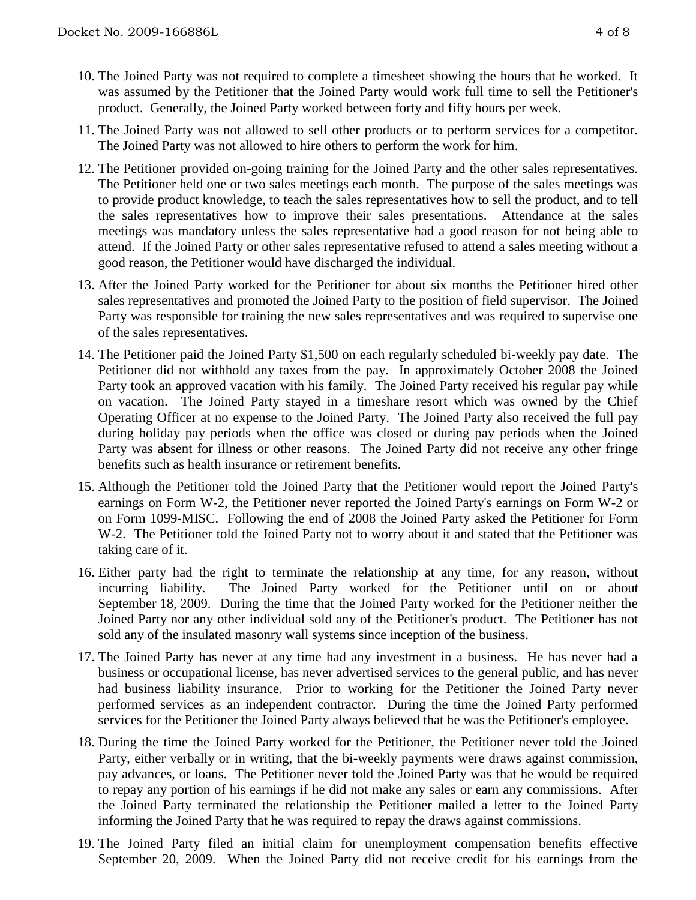- 10. The Joined Party was not required to complete a timesheet showing the hours that he worked. It was assumed by the Petitioner that the Joined Party would work full time to sell the Petitioner's product. Generally, the Joined Party worked between forty and fifty hours per week.
- 11. The Joined Party was not allowed to sell other products or to perform services for a competitor. The Joined Party was not allowed to hire others to perform the work for him.
- 12. The Petitioner provided on-going training for the Joined Party and the other sales representatives. The Petitioner held one or two sales meetings each month. The purpose of the sales meetings was to provide product knowledge, to teach the sales representatives how to sell the product, and to tell the sales representatives how to improve their sales presentations. Attendance at the sales meetings was mandatory unless the sales representative had a good reason for not being able to attend. If the Joined Party or other sales representative refused to attend a sales meeting without a good reason, the Petitioner would have discharged the individual.
- 13. After the Joined Party worked for the Petitioner for about six months the Petitioner hired other sales representatives and promoted the Joined Party to the position of field supervisor. The Joined Party was responsible for training the new sales representatives and was required to supervise one of the sales representatives.
- 14. The Petitioner paid the Joined Party \$1,500 on each regularly scheduled bi-weekly pay date. The Petitioner did not withhold any taxes from the pay. In approximately October 2008 the Joined Party took an approved vacation with his family. The Joined Party received his regular pay while on vacation. The Joined Party stayed in a timeshare resort which was owned by the Chief Operating Officer at no expense to the Joined Party. The Joined Party also received the full pay during holiday pay periods when the office was closed or during pay periods when the Joined Party was absent for illness or other reasons. The Joined Party did not receive any other fringe benefits such as health insurance or retirement benefits.
- 15. Although the Petitioner told the Joined Party that the Petitioner would report the Joined Party's earnings on Form W-2, the Petitioner never reported the Joined Party's earnings on Form W-2 or on Form 1099-MISC. Following the end of 2008 the Joined Party asked the Petitioner for Form W-2. The Petitioner told the Joined Party not to worry about it and stated that the Petitioner was taking care of it.
- 16. Either party had the right to terminate the relationship at any time, for any reason, without incurring liability. The Joined Party worked for the Petitioner until on or about September 18, 2009. During the time that the Joined Party worked for the Petitioner neither the Joined Party nor any other individual sold any of the Petitioner's product. The Petitioner has not sold any of the insulated masonry wall systems since inception of the business.
- 17. The Joined Party has never at any time had any investment in a business. He has never had a business or occupational license, has never advertised services to the general public, and has never had business liability insurance. Prior to working for the Petitioner the Joined Party never performed services as an independent contractor. During the time the Joined Party performed services for the Petitioner the Joined Party always believed that he was the Petitioner's employee.
- 18. During the time the Joined Party worked for the Petitioner, the Petitioner never told the Joined Party, either verbally or in writing, that the bi-weekly payments were draws against commission, pay advances, or loans. The Petitioner never told the Joined Party was that he would be required to repay any portion of his earnings if he did not make any sales or earn any commissions. After the Joined Party terminated the relationship the Petitioner mailed a letter to the Joined Party informing the Joined Party that he was required to repay the draws against commissions.
- 19. The Joined Party filed an initial claim for unemployment compensation benefits effective September 20, 2009. When the Joined Party did not receive credit for his earnings from the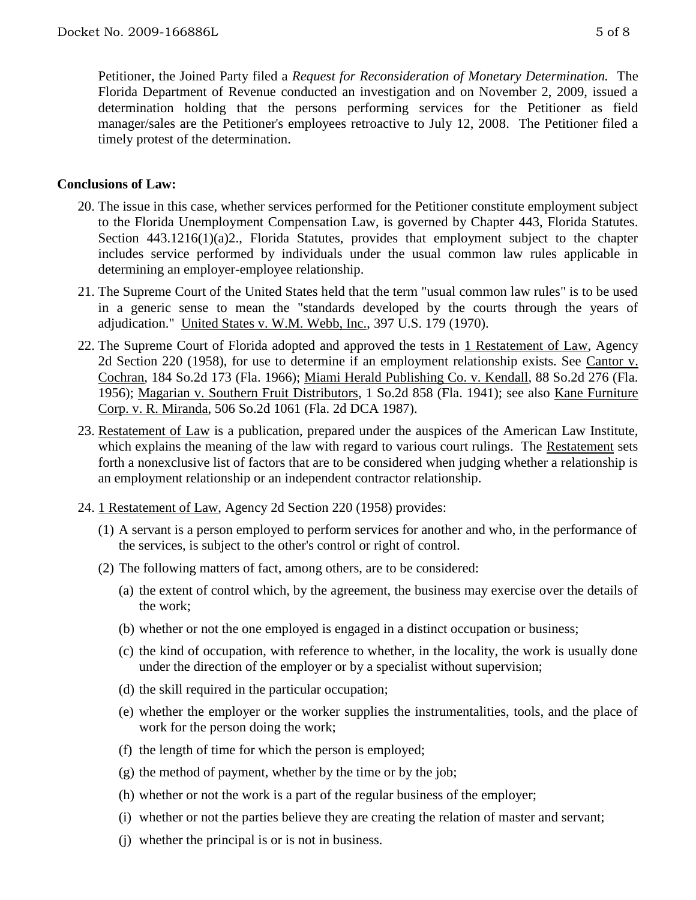Petitioner, the Joined Party filed a *Request for Reconsideration of Monetary Determination.* The Florida Department of Revenue conducted an investigation and on November 2, 2009, issued a determination holding that the persons performing services for the Petitioner as field manager/sales are the Petitioner's employees retroactive to July 12, 2008. The Petitioner filed a timely protest of the determination.

## **Conclusions of Law:**

- 20. The issue in this case, whether services performed for the Petitioner constitute employment subject to the Florida Unemployment Compensation Law, is governed by Chapter 443, Florida Statutes. Section 443.1216(1)(a)2., Florida Statutes, provides that employment subject to the chapter includes service performed by individuals under the usual common law rules applicable in determining an employer-employee relationship.
- 21. The Supreme Court of the United States held that the term "usual common law rules" is to be used in a generic sense to mean the "standards developed by the courts through the years of adjudication." United States v. W.M. Webb, Inc., 397 U.S. 179 (1970).
- 22. The Supreme Court of Florida adopted and approved the tests in 1 Restatement of Law, Agency 2d Section 220 (1958), for use to determine if an employment relationship exists. See Cantor v. Cochran, 184 So.2d 173 (Fla. 1966); Miami Herald Publishing Co. v. Kendall, 88 So.2d 276 (Fla. 1956); Magarian v. Southern Fruit Distributors, 1 So.2d 858 (Fla. 1941); see also Kane Furniture Corp. v. R. Miranda, 506 So.2d 1061 (Fla. 2d DCA 1987).
- 23. Restatement of Law is a publication, prepared under the auspices of the American Law Institute, which explains the meaning of the law with regard to various court rulings. The Restatement sets forth a nonexclusive list of factors that are to be considered when judging whether a relationship is an employment relationship or an independent contractor relationship.
- 24. 1 Restatement of Law, Agency 2d Section 220 (1958) provides:
	- (1) A servant is a person employed to perform services for another and who, in the performance of the services, is subject to the other's control or right of control.
	- (2) The following matters of fact, among others, are to be considered:
		- (a) the extent of control which, by the agreement, the business may exercise over the details of the work;
		- (b) whether or not the one employed is engaged in a distinct occupation or business;
		- (c) the kind of occupation, with reference to whether, in the locality, the work is usually done under the direction of the employer or by a specialist without supervision;
		- (d) the skill required in the particular occupation;
		- (e) whether the employer or the worker supplies the instrumentalities, tools, and the place of work for the person doing the work;
		- (f) the length of time for which the person is employed;
		- (g) the method of payment, whether by the time or by the job;
		- (h) whether or not the work is a part of the regular business of the employer;
		- (i) whether or not the parties believe they are creating the relation of master and servant;
		- (j) whether the principal is or is not in business.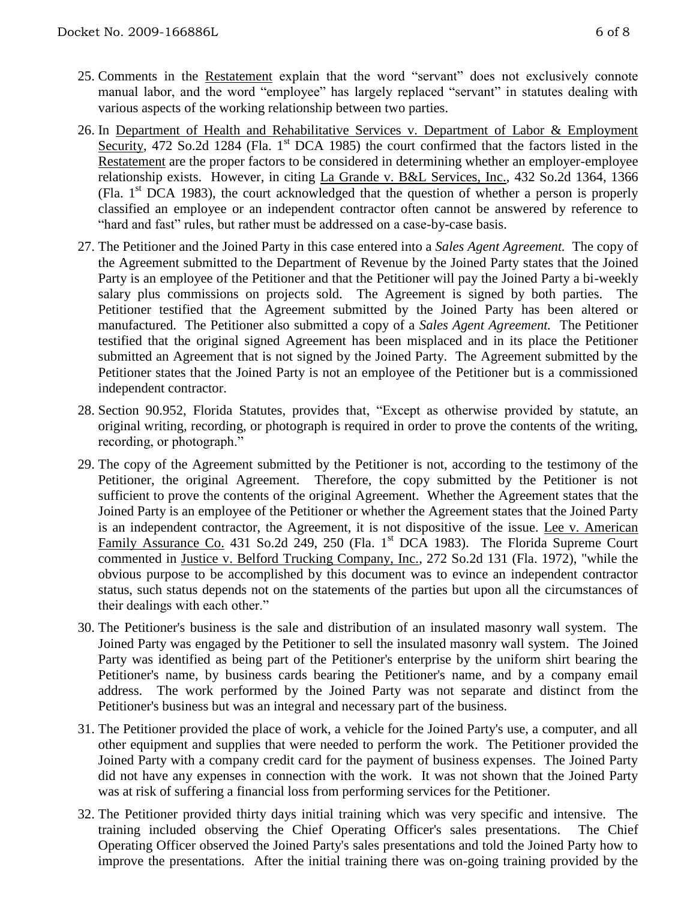- 25. Comments in the Restatement explain that the word "servant" does not exclusively connote manual labor, and the word "employee" has largely replaced "servant" in statutes dealing with various aspects of the working relationship between two parties.
- 26. In Department of Health and Rehabilitative Services v. Department of Labor & Employment Security, 472 So.2d 1284 (Fla. 1<sup>st</sup> DCA 1985) the court confirmed that the factors listed in the Restatement are the proper factors to be considered in determining whether an employer-employee relationship exists. However, in citing La Grande v. B&L Services, Inc., 432 So.2d 1364, 1366 (Fla.  $1<sup>st</sup> DCA$  1983), the court acknowledged that the question of whether a person is properly classified an employee or an independent contractor often cannot be answered by reference to "hard and fast" rules, but rather must be addressed on a case-by-case basis.
- 27. The Petitioner and the Joined Party in this case entered into a *Sales Agent Agreement.* The copy of the Agreement submitted to the Department of Revenue by the Joined Party states that the Joined Party is an employee of the Petitioner and that the Petitioner will pay the Joined Party a bi-weekly salary plus commissions on projects sold. The Agreement is signed by both parties. The Petitioner testified that the Agreement submitted by the Joined Party has been altered or manufactured. The Petitioner also submitted a copy of a *Sales Agent Agreement.* The Petitioner testified that the original signed Agreement has been misplaced and in its place the Petitioner submitted an Agreement that is not signed by the Joined Party. The Agreement submitted by the Petitioner states that the Joined Party is not an employee of the Petitioner but is a commissioned independent contractor.
- 28. Section 90.952, Florida Statutes, provides that, "Except as otherwise provided by statute, an original writing, recording, or photograph is required in order to prove the contents of the writing, recording, or photograph."
- 29. The copy of the Agreement submitted by the Petitioner is not, according to the testimony of the Petitioner, the original Agreement. Therefore, the copy submitted by the Petitioner is not sufficient to prove the contents of the original Agreement. Whether the Agreement states that the Joined Party is an employee of the Petitioner or whether the Agreement states that the Joined Party is an independent contractor, the Agreement, it is not dispositive of the issue. Lee v. American Family Assurance Co. 431 So.2d 249, 250 (Fla. 1st DCA 1983). The Florida Supreme Court commented in Justice v. Belford Trucking Company, Inc., 272 So.2d 131 (Fla. 1972), "while the obvious purpose to be accomplished by this document was to evince an independent contractor status, such status depends not on the statements of the parties but upon all the circumstances of their dealings with each other."
- 30. The Petitioner's business is the sale and distribution of an insulated masonry wall system. The Joined Party was engaged by the Petitioner to sell the insulated masonry wall system. The Joined Party was identified as being part of the Petitioner's enterprise by the uniform shirt bearing the Petitioner's name, by business cards bearing the Petitioner's name, and by a company email address. The work performed by the Joined Party was not separate and distinct from the Petitioner's business but was an integral and necessary part of the business.
- 31. The Petitioner provided the place of work, a vehicle for the Joined Party's use, a computer, and all other equipment and supplies that were needed to perform the work. The Petitioner provided the Joined Party with a company credit card for the payment of business expenses. The Joined Party did not have any expenses in connection with the work. It was not shown that the Joined Party was at risk of suffering a financial loss from performing services for the Petitioner.
- 32. The Petitioner provided thirty days initial training which was very specific and intensive. The training included observing the Chief Operating Officer's sales presentations. The Chief Operating Officer observed the Joined Party's sales presentations and told the Joined Party how to improve the presentations. After the initial training there was on-going training provided by the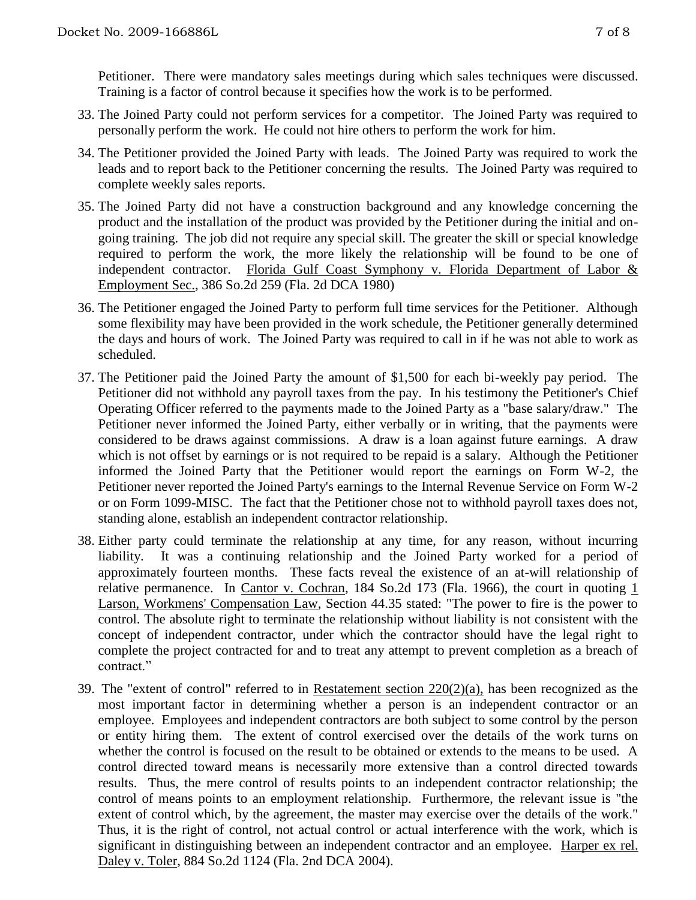Petitioner. There were mandatory sales meetings during which sales techniques were discussed. Training is a factor of control because it specifies how the work is to be performed.

- 33. The Joined Party could not perform services for a competitor. The Joined Party was required to personally perform the work. He could not hire others to perform the work for him.
- 34. The Petitioner provided the Joined Party with leads. The Joined Party was required to work the leads and to report back to the Petitioner concerning the results. The Joined Party was required to complete weekly sales reports.
- 35. The Joined Party did not have a construction background and any knowledge concerning the product and the installation of the product was provided by the Petitioner during the initial and ongoing training. The job did not require any special skill. The greater the skill or special knowledge required to perform the work, the more likely the relationship will be found to be one of independent contractor. Florida Gulf Coast Symphony v. Florida Department of Labor & Employment Sec., 386 So.2d 259 (Fla. 2d DCA 1980)
- 36. The Petitioner engaged the Joined Party to perform full time services for the Petitioner. Although some flexibility may have been provided in the work schedule, the Petitioner generally determined the days and hours of work. The Joined Party was required to call in if he was not able to work as scheduled.
- 37. The Petitioner paid the Joined Party the amount of \$1,500 for each bi-weekly pay period. The Petitioner did not withhold any payroll taxes from the pay. In his testimony the Petitioner's Chief Operating Officer referred to the payments made to the Joined Party as a "base salary/draw." The Petitioner never informed the Joined Party, either verbally or in writing, that the payments were considered to be draws against commissions. A draw is a loan against future earnings. A draw which is not offset by earnings or is not required to be repaid is a salary. Although the Petitioner informed the Joined Party that the Petitioner would report the earnings on Form W-2, the Petitioner never reported the Joined Party's earnings to the Internal Revenue Service on Form W-2 or on Form 1099-MISC. The fact that the Petitioner chose not to withhold payroll taxes does not, standing alone, establish an independent contractor relationship.
- 38. Either party could terminate the relationship at any time, for any reason, without incurring liability. It was a continuing relationship and the Joined Party worked for a period of approximately fourteen months. These facts reveal the existence of an at-will relationship of relative permanence. In Cantor v. Cochran, 184 So.2d 173 (Fla. 1966), the court in quoting 1 Larson, Workmens' Compensation Law, Section 44.35 stated: "The power to fire is the power to control. The absolute right to terminate the relationship without liability is not consistent with the concept of independent contractor, under which the contractor should have the legal right to complete the project contracted for and to treat any attempt to prevent completion as a breach of contract."
- 39. The "extent of control" referred to in Restatement section 220(2)(a), has been recognized as the most important factor in determining whether a person is an independent contractor or an employee. Employees and independent contractors are both subject to some control by the person or entity hiring them. The extent of control exercised over the details of the work turns on whether the control is focused on the result to be obtained or extends to the means to be used. A control directed toward means is necessarily more extensive than a control directed towards results. Thus, the mere control of results points to an independent contractor relationship; the control of means points to an employment relationship. Furthermore, the relevant issue is "the extent of control which, by the agreement, the master may exercise over the details of the work." Thus, it is the right of control, not actual control or actual interference with the work, which is significant in distinguishing between an independent contractor and an employee. Harper ex rel. Daley v. Toler, 884 So.2d 1124 (Fla. 2nd DCA 2004).